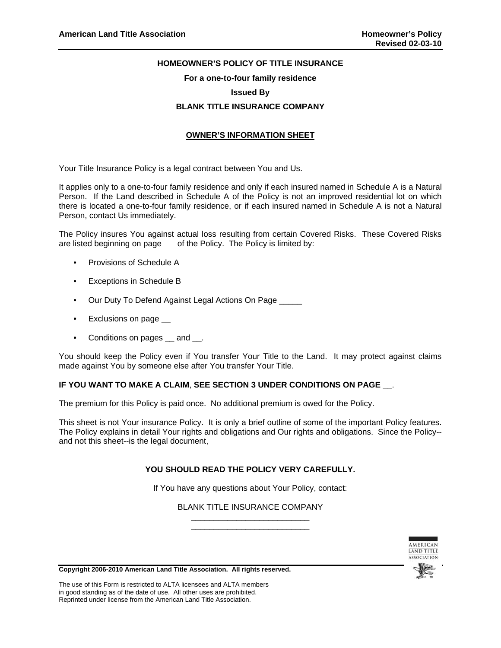# **For a one-to-four family residence Issued By**

#### **BLANK TITLE INSURANCE COMPANY**

#### **OWNER'S INFORMATION SHEET**

Your Title Insurance Policy is a legal contract between You and Us.

It applies only to a one-to-four family residence and only if each insured named in Schedule A is a Natural Person. If the Land described in Schedule A of the Policy is not an improved residential lot on which there is located a one-to-four family residence, or if each insured named in Schedule A is not a Natural Person, contact Us immediately.

The Policy insures You against actual loss resulting from certain Covered Risks. These Covered Risks are listed beginning on page of the Policy. The Policy is limited by:

- Provisions of Schedule A
- Exceptions in Schedule B
- Our Duty To Defend Against Legal Actions On Page \_\_\_\_\_
- Exclusions on page \_\_
- Conditions on pages <u>quarely</u>.

You should keep the Policy even if You transfer Your Title to the Land. It may protect against claims made against You by someone else after You transfer Your Title.

#### **IF YOU WANT TO MAKE A CLAIM**, **SEE SECTION 3 UNDER CONDITIONS ON PAGE \_\_**.

The premium for this Policy is paid once. No additional premium is owed for the Policy.

This sheet is not Your insurance Policy. It is only a brief outline of some of the important Policy features. The Policy explains in detail Your rights and obligations and Our rights and obligations. Since the Policy- and not this sheet--is the legal document,

#### **YOU SHOULD READ THE POLICY VERY CAREFULLY.**

If You have any questions about Your Policy, contact:

#### BLANK TITLE INSURANCE COMPANY \_\_\_\_\_\_\_\_\_\_\_\_\_\_\_\_\_\_\_\_\_\_\_\_\_\_

\_\_\_\_\_\_\_\_\_\_\_\_\_\_\_\_\_\_\_\_\_\_\_\_\_\_



**Copyright 2006-2010 American Land Title Association. All rights reserved.**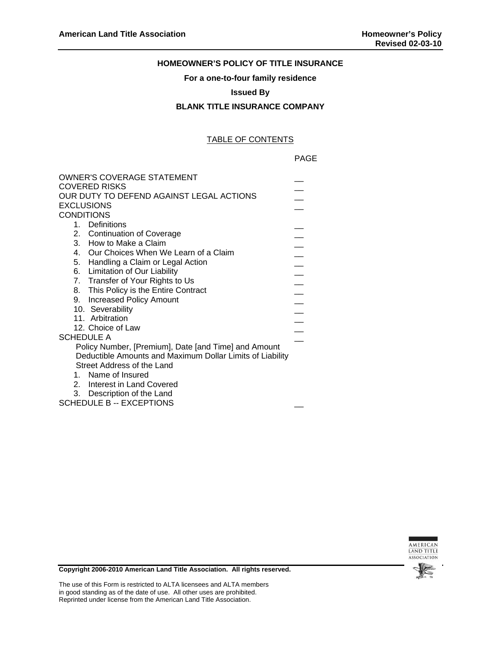#### **For a one-to-four family residence**

#### **Issued By**

#### **BLANK TITLE INSURANCE COMPANY**

#### TABLE OF CONTENTS

#### PAGE

| <b>OWNER'S COVERAGE STATEMENT</b>                         |  |
|-----------------------------------------------------------|--|
| <b>COVERED RISKS</b>                                      |  |
| OUR DUTY TO DEFEND AGAINST LEGAL ACTIONS                  |  |
| EXCLUSIONS                                                |  |
| <b>CONDITIONS</b>                                         |  |
| 1. Definitions                                            |  |
| 2. Continuation of Coverage                               |  |
| 3. How to Make a Claim                                    |  |
| 4. Our Choices When We Learn of a Claim                   |  |
| 5. Handling a Claim or Legal Action                       |  |
| 6. Limitation of Our Liability                            |  |
| 7. Transfer of Your Rights to Us                          |  |
| This Policy is the Entire Contract<br>8.                  |  |
| 9.<br><b>Increased Policy Amount</b>                      |  |
| 10. Severability                                          |  |
| 11. Arbitration                                           |  |
| 12. Choice of Law                                         |  |
| SCHEDULE A                                                |  |
| Policy Number, [Premium], Date [and Time] and Amount      |  |
| Deductible Amounts and Maximum Dollar Limits of Liability |  |
| Street Address of the Land                                |  |
| 1. Name of Insured                                        |  |
| 2. Interest in Land Covered                               |  |
| 3. Description of the Land                                |  |
| <b>SCHEDULE B -- EXCEPTIONS</b>                           |  |
|                                                           |  |





**Copyright 2006-2010 American Land Title Association. All rights reserved.**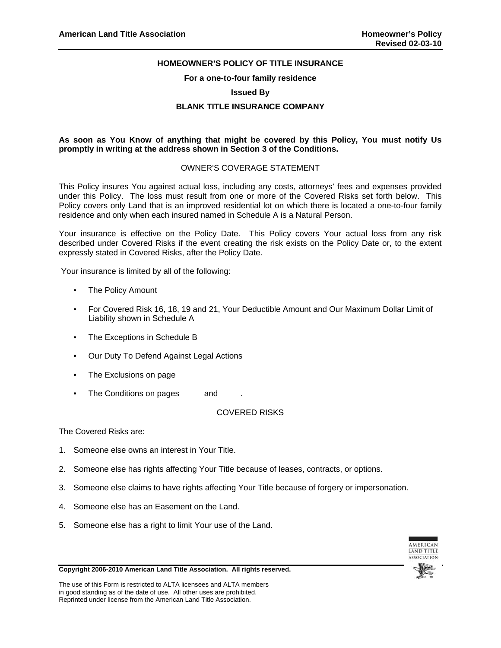#### **For a one-to-four family residence**

#### **Issued By**

#### **BLANK TITLE INSURANCE COMPANY**

#### **As soon as You Know of anything that might be covered by this Policy, You must notify Us promptly in writing at the address shown in Section 3 of the Conditions.**

#### OWNER'S COVERAGE STATEMENT

This Policy insures You against actual loss, including any costs, attorneys' fees and expenses provided under this Policy. The loss must result from one or more of the Covered Risks set forth below. This Policy covers only Land that is an improved residential lot on which there is located a one-to-four family residence and only when each insured named in Schedule A is a Natural Person.

Your insurance is effective on the Policy Date. This Policy covers Your actual loss from any risk described under Covered Risks if the event creating the risk exists on the Policy Date or, to the extent expressly stated in Covered Risks, after the Policy Date.

Your insurance is limited by all of the following:

- The Policy Amount
- For Covered Risk 16, 18, 19 and 21, Your Deductible Amount and Our Maximum Dollar Limit of Liability shown in Schedule A
- The Exceptions in Schedule B
- Our Duty To Defend Against Legal Actions
- The Exclusions on page
- The Conditions on pages and

#### COVERED RISKS

The Covered Risks are:

- 1. Someone else owns an interest in Your Title.
- 2. Someone else has rights affecting Your Title because of leases, contracts, or options.
- 3. Someone else claims to have rights affecting Your Title because of forgery or impersonation.
- 4. Someone else has an Easement on the Land.
- 5. Someone else has a right to limit Your use of the Land.





#### **Copyright 2006-2010 American Land Title Association. All rights reserved.**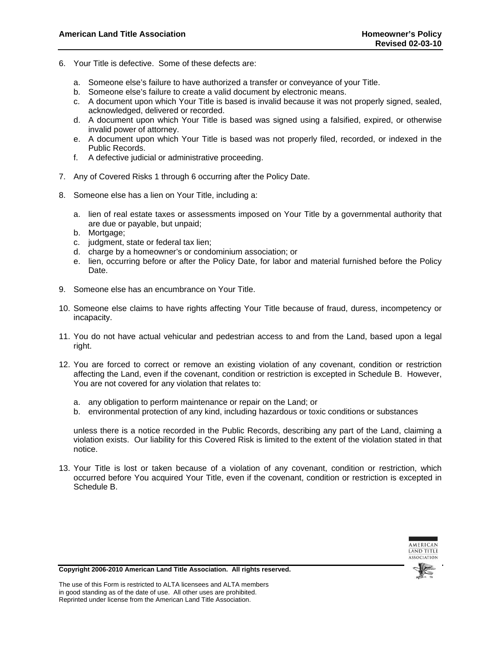- 6. Your Title is defective. Some of these defects are:
	- a. Someone else's failure to have authorized a transfer or conveyance of your Title.
	- b. Someone else's failure to create a valid document by electronic means.
	- c. A document upon which Your Title is based is invalid because it was not properly signed, sealed, acknowledged, delivered or recorded.
	- d. A document upon which Your Title is based was signed using a falsified, expired, or otherwise invalid power of attorney.
	- e. A document upon which Your Title is based was not properly filed, recorded, or indexed in the Public Records.
	- f. A defective judicial or administrative proceeding.
- 7. Any of Covered Risks 1 through 6 occurring after the Policy Date.
- 8. Someone else has a lien on Your Title, including a:
	- a. lien of real estate taxes or assessments imposed on Your Title by a governmental authority that are due or payable, but unpaid;
	- b. Mortgage;
	- c. judgment, state or federal tax lien;
	- d. charge by a homeowner's or condominium association; or
	- e. lien, occurring before or after the Policy Date, for labor and material furnished before the Policy Date.
- 9. Someone else has an encumbrance on Your Title.
- 10. Someone else claims to have rights affecting Your Title because of fraud, duress, incompetency or incapacity.
- 11. You do not have actual vehicular and pedestrian access to and from the Land, based upon a legal right.
- 12. You are forced to correct or remove an existing violation of any covenant, condition or restriction affecting the Land, even if the covenant, condition or restriction is excepted in Schedule B. However, You are not covered for any violation that relates to:
	- a. any obligation to perform maintenance or repair on the Land; or
	- b. environmental protection of any kind, including hazardous or toxic conditions or substances

unless there is a notice recorded in the Public Records, describing any part of the Land, claiming a violation exists. Our liability for this Covered Risk is limited to the extent of the violation stated in that notice.

13. Your Title is lost or taken because of a violation of any covenant, condition or restriction, which occurred before You acquired Your Title, even if the covenant, condition or restriction is excepted in Schedule B.





**Copyright 2006-2010 American Land Title Association. All rights reserved.**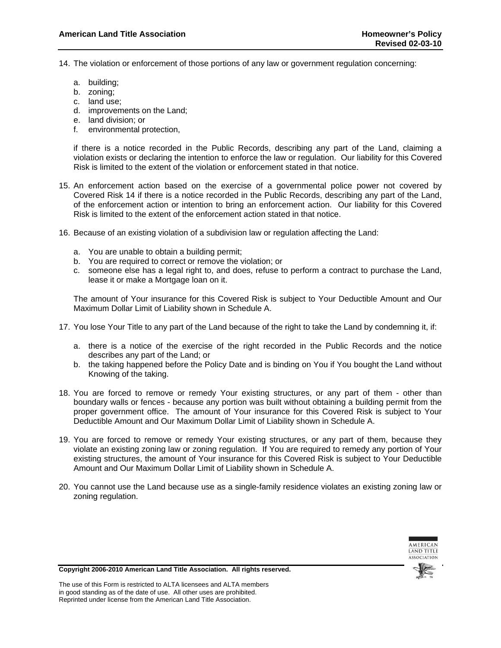14. The violation or enforcement of those portions of any law or government regulation concerning:

- a. building;
- b. zoning;
- c. land use;
- d. improvements on the Land;
- e. land division; or
- f. environmental protection,

if there is a notice recorded in the Public Records, describing any part of the Land, claiming a violation exists or declaring the intention to enforce the law or regulation. Our liability for this Covered Risk is limited to the extent of the violation or enforcement stated in that notice.

- 15. An enforcement action based on the exercise of a governmental police power not covered by Covered Risk 14 if there is a notice recorded in the Public Records, describing any part of the Land, of the enforcement action or intention to bring an enforcement action. Our liability for this Covered Risk is limited to the extent of the enforcement action stated in that notice.
- 16. Because of an existing violation of a subdivision law or regulation affecting the Land:
	- a. You are unable to obtain a building permit;
	- b. You are required to correct or remove the violation; or
	- c. someone else has a legal right to, and does, refuse to perform a contract to purchase the Land, lease it or make a Mortgage loan on it.

The amount of Your insurance for this Covered Risk is subject to Your Deductible Amount and Our Maximum Dollar Limit of Liability shown in Schedule A.

- 17. You lose Your Title to any part of the Land because of the right to take the Land by condemning it, if:
	- a. there is a notice of the exercise of the right recorded in the Public Records and the notice describes any part of the Land; or
	- b. the taking happened before the Policy Date and is binding on You if You bought the Land without Knowing of the taking.
- 18. You are forced to remove or remedy Your existing structures, or any part of them other than boundary walls or fences - because any portion was built without obtaining a building permit from the proper government office. The amount of Your insurance for this Covered Risk is subject to Your Deductible Amount and Our Maximum Dollar Limit of Liability shown in Schedule A.
- 19. You are forced to remove or remedy Your existing structures, or any part of them, because they violate an existing zoning law or zoning regulation. If You are required to remedy any portion of Your existing structures, the amount of Your insurance for this Covered Risk is subject to Your Deductible Amount and Our Maximum Dollar Limit of Liability shown in Schedule A.
- 20. You cannot use the Land because use as a single-family residence violates an existing zoning law or zoning regulation.





**Copyright 2006-2010 American Land Title Association. All rights reserved.**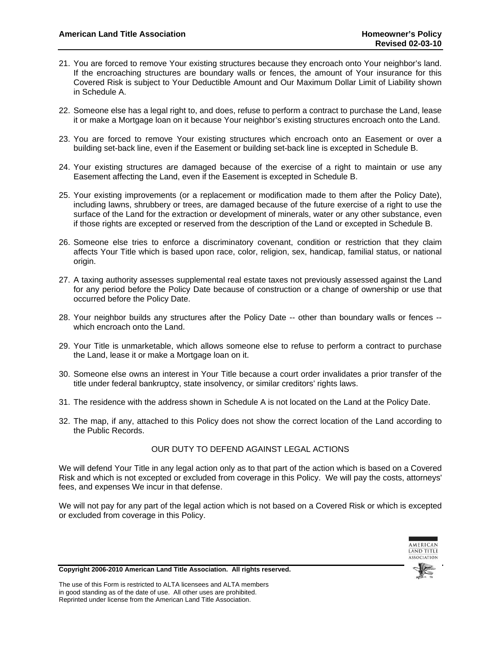- 21. You are forced to remove Your existing structures because they encroach onto Your neighbor's land. If the encroaching structures are boundary walls or fences, the amount of Your insurance for this Covered Risk is subject to Your Deductible Amount and Our Maximum Dollar Limit of Liability shown in Schedule A.
- 22. Someone else has a legal right to, and does, refuse to perform a contract to purchase the Land, lease it or make a Mortgage loan on it because Your neighbor's existing structures encroach onto the Land.
- 23. You are forced to remove Your existing structures which encroach onto an Easement or over a building set-back line, even if the Easement or building set-back line is excepted in Schedule B.
- 24. Your existing structures are damaged because of the exercise of a right to maintain or use any Easement affecting the Land, even if the Easement is excepted in Schedule B.
- 25. Your existing improvements (or a replacement or modification made to them after the Policy Date), including lawns, shrubbery or trees, are damaged because of the future exercise of a right to use the surface of the Land for the extraction or development of minerals, water or any other substance, even if those rights are excepted or reserved from the description of the Land or excepted in Schedule B.
- 26. Someone else tries to enforce a discriminatory covenant, condition or restriction that they claim affects Your Title which is based upon race, color, religion, sex, handicap, familial status, or national origin.
- 27. A taxing authority assesses supplemental real estate taxes not previously assessed against the Land for any period before the Policy Date because of construction or a change of ownership or use that occurred before the Policy Date.
- 28. Your neighbor builds any structures after the Policy Date -- other than boundary walls or fences which encroach onto the Land.
- 29. Your Title is unmarketable, which allows someone else to refuse to perform a contract to purchase the Land, lease it or make a Mortgage loan on it.
- 30. Someone else owns an interest in Your Title because a court order invalidates a prior transfer of the title under federal bankruptcy, state insolvency, or similar creditors' rights laws.
- 31. The residence with the address shown in Schedule A is not located on the Land at the Policy Date.
- 32. The map, if any, attached to this Policy does not show the correct location of the Land according to the Public Records.

#### OUR DUTY TO DEFEND AGAINST LEGAL ACTIONS

We will defend Your Title in any legal action only as to that part of the action which is based on a Covered Risk and which is not excepted or excluded from coverage in this Policy. We will pay the costs, attorneys' fees, and expenses We incur in that defense.

We will not pay for any part of the legal action which is not based on a Covered Risk or which is excepted or excluded from coverage in this Policy.





**Copyright 2006-2010 American Land Title Association. All rights reserved.**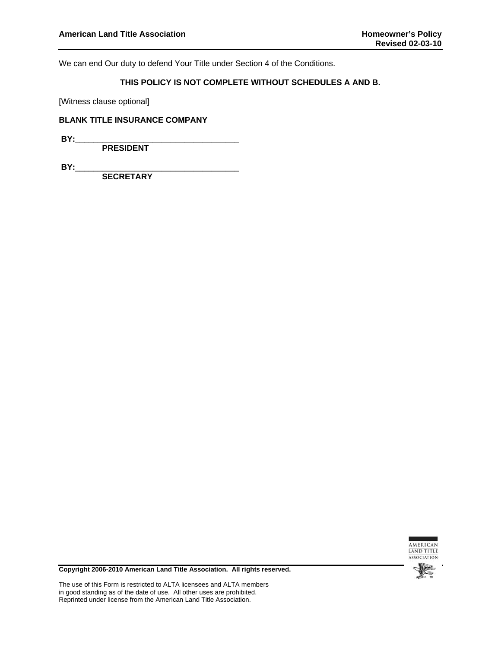We can end Our duty to defend Your Title under Section 4 of the Conditions.

#### **THIS POLICY IS NOT COMPLETE WITHOUT SCHEDULES A AND B.**

[Witness clause optional]

#### **BLANK TITLE INSURANCE COMPANY**

**BY:\_\_\_\_\_\_\_\_\_\_\_\_\_\_\_\_\_\_\_\_\_\_\_\_\_\_\_\_\_\_\_\_\_\_\_\_** 

 **PRESIDENT** 

 **BY:**\_\_\_\_\_\_\_\_\_\_\_\_\_\_\_\_\_\_\_\_\_\_\_\_\_\_\_\_\_\_\_\_\_\_\_\_

**SECRETARY** 



**Copyright 2006-2010 American Land Title Association. All rights reserved.**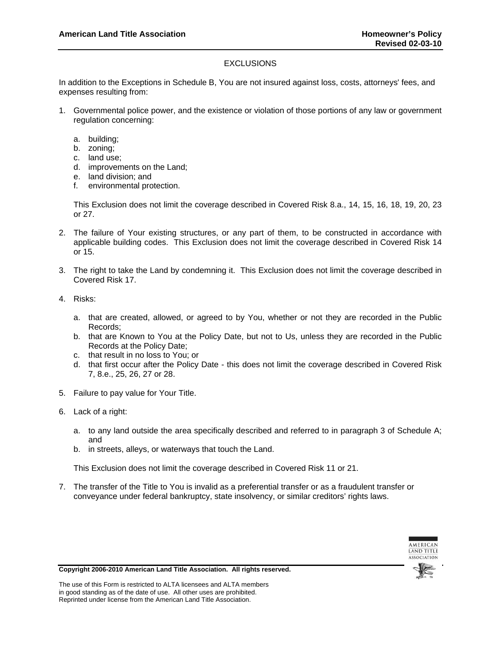#### EXCLUSIONS

In addition to the Exceptions in Schedule B, You are not insured against loss, costs, attorneys' fees, and expenses resulting from:

- 1. Governmental police power, and the existence or violation of those portions of any law or government regulation concerning:
	- a. building;
	- b. zoning;
	- c. land use;
	- d. improvements on the Land;
	- e. land division; and
	- f. environmental protection.

This Exclusion does not limit the coverage described in Covered Risk 8.a., 14, 15, 16, 18, 19, 20, 23 or 27.

- 2. The failure of Your existing structures, or any part of them, to be constructed in accordance with applicable building codes. This Exclusion does not limit the coverage described in Covered Risk 14 or 15.
- 3. The right to take the Land by condemning it. This Exclusion does not limit the coverage described in Covered Risk 17.
- 4. Risks:
	- a. that are created, allowed, or agreed to by You, whether or not they are recorded in the Public Records;
	- b. that are Known to You at the Policy Date, but not to Us, unless they are recorded in the Public Records at the Policy Date;
	- c. that result in no loss to You; or
	- d. that first occur after the Policy Date this does not limit the coverage described in Covered Risk 7, 8.e., 25, 26, 27 or 28.
- 5. Failure to pay value for Your Title.
- 6. Lack of a right:
	- a. to any land outside the area specifically described and referred to in paragraph 3 of Schedule A; and
	- b. in streets, alleys, or waterways that touch the Land.

This Exclusion does not limit the coverage described in Covered Risk 11 or 21.

7. The transfer of the Title to You is invalid as a preferential transfer or as a fraudulent transfer or conveyance under federal bankruptcy, state insolvency, or similar creditors' rights laws.





**Copyright 2006-2010 American Land Title Association. All rights reserved.**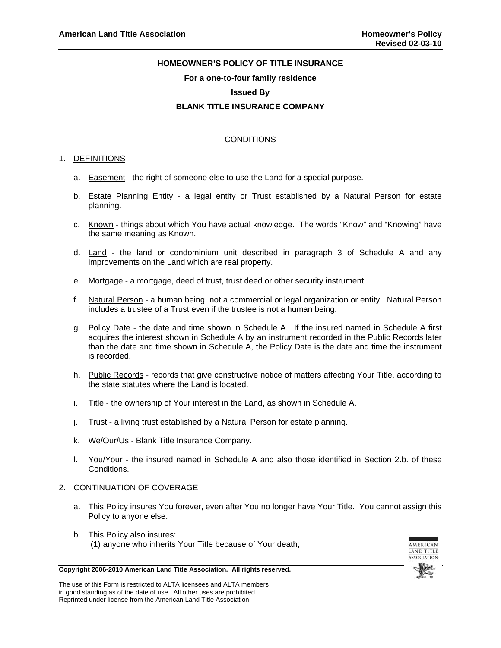## **For a one-to-four family residence Issued By BLANK TITLE INSURANCE COMPANY**

#### **CONDITIONS**

#### 1. DEFINITIONS

- a. Easement the right of someone else to use the Land for a special purpose.
- b. Estate Planning Entity a legal entity or Trust established by a Natural Person for estate planning.
- c. Known things about which You have actual knowledge. The words "Know" and "Knowing" have the same meaning as Known.
- d. Land the land or condominium unit described in paragraph 3 of Schedule A and any improvements on the Land which are real property.
- e. Mortgage a mortgage, deed of trust, trust deed or other security instrument.
- f. Natural Person a human being, not a commercial or legal organization or entity. Natural Person includes a trustee of a Trust even if the trustee is not a human being.
- g. Policy Date the date and time shown in Schedule A. If the insured named in Schedule A first acquires the interest shown in Schedule A by an instrument recorded in the Public Records later than the date and time shown in Schedule A, the Policy Date is the date and time the instrument is recorded.
- h. Public Records records that give constructive notice of matters affecting Your Title, according to the state statutes where the Land is located.
- i. Title the ownership of Your interest in the Land, as shown in Schedule A.
- j. Trust a living trust established by a Natural Person for estate planning.
- k. We/Our/Us Blank Title Insurance Company.
- l. You/Your the insured named in Schedule A and also those identified in Section 2.b. of these Conditions.

#### 2. CONTINUATION OF COVERAGE

- a. This Policy insures You forever, even after You no longer have Your Title. You cannot assign this Policy to anyone else.
- b. This Policy also insures: (1) anyone who inherits Your Title because of Your death;



#### **Copyright 2006-2010 American Land Title Association. All rights reserved.**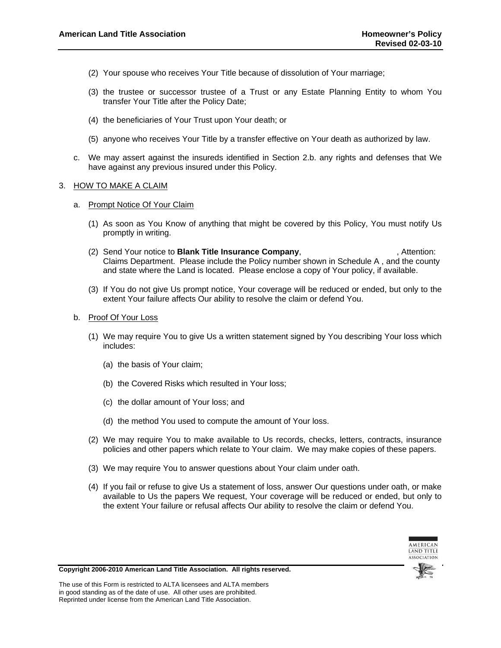- (2) Your spouse who receives Your Title because of dissolution of Your marriage;
- (3) the trustee or successor trustee of a Trust or any Estate Planning Entity to whom You transfer Your Title after the Policy Date;
- (4) the beneficiaries of Your Trust upon Your death; or
- (5) anyone who receives Your Title by a transfer effective on Your death as authorized by law.
- c. We may assert against the insureds identified in Section 2.b. any rights and defenses that We have against any previous insured under this Policy.

#### 3. HOW TO MAKE A CLAIM

- a. Prompt Notice Of Your Claim
	- (1) As soon as You Know of anything that might be covered by this Policy, You must notify Us promptly in writing.
	- (2) Send Your notice to **Blank Title Insurance Company**, *COMPANY*, Attention: Claims Department. Please include the Policy number shown in Schedule A , and the county and state where the Land is located. Please enclose a copy of Your policy, if available.
	- (3) If You do not give Us prompt notice, Your coverage will be reduced or ended, but only to the extent Your failure affects Our ability to resolve the claim or defend You.

#### b. Proof Of Your Loss

- (1) We may require You to give Us a written statement signed by You describing Your loss which includes:
	- (a) the basis of Your claim;
	- (b) the Covered Risks which resulted in Your loss;
	- (c) the dollar amount of Your loss; and
	- (d) the method You used to compute the amount of Your loss.
- (2) We may require You to make available to Us records, checks, letters, contracts, insurance policies and other papers which relate to Your claim. We may make copies of these papers.
- (3) We may require You to answer questions about Your claim under oath.
- (4) If you fail or refuse to give Us a statement of loss, answer Our questions under oath, or make available to Us the papers We request, Your coverage will be reduced or ended, but only to the extent Your failure or refusal affects Our ability to resolve the claim or defend You.





**Copyright 2006-2010 American Land Title Association. All rights reserved.**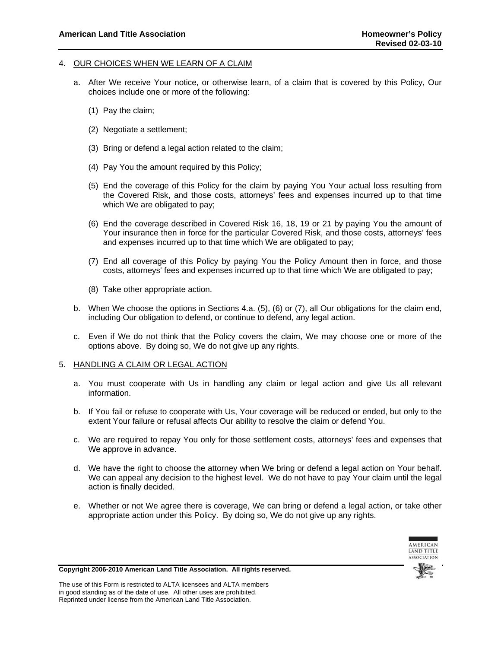#### 4. OUR CHOICES WHEN WE LEARN OF A CLAIM

- a. After We receive Your notice, or otherwise learn, of a claim that is covered by this Policy, Our choices include one or more of the following:
	- (1) Pay the claim;
	- (2) Negotiate a settlement;
	- (3) Bring or defend a legal action related to the claim;
	- (4) Pay You the amount required by this Policy;
	- (5) End the coverage of this Policy for the claim by paying You Your actual loss resulting from the Covered Risk, and those costs, attorneys' fees and expenses incurred up to that time which We are obligated to pay;
	- (6) End the coverage described in Covered Risk 16, 18, 19 or 21 by paying You the amount of Your insurance then in force for the particular Covered Risk, and those costs, attorneys' fees and expenses incurred up to that time which We are obligated to pay;
	- (7) End all coverage of this Policy by paying You the Policy Amount then in force, and those costs, attorneys' fees and expenses incurred up to that time which We are obligated to pay;
	- (8) Take other appropriate action.
- b. When We choose the options in Sections 4.a. (5), (6) or (7), all Our obligations for the claim end, including Our obligation to defend, or continue to defend, any legal action.
- c. Even if We do not think that the Policy covers the claim, We may choose one or more of the options above. By doing so, We do not give up any rights.

#### 5. HANDLING A CLAIM OR LEGAL ACTION

- a. You must cooperate with Us in handling any claim or legal action and give Us all relevant information.
- b. If You fail or refuse to cooperate with Us, Your coverage will be reduced or ended, but only to the extent Your failure or refusal affects Our ability to resolve the claim or defend You.
- c. We are required to repay You only for those settlement costs, attorneys' fees and expenses that We approve in advance.
- d. We have the right to choose the attorney when We bring or defend a legal action on Your behalf. We can appeal any decision to the highest level. We do not have to pay Your claim until the legal action is finally decided.
- e. Whether or not We agree there is coverage, We can bring or defend a legal action, or take other appropriate action under this Policy. By doing so, We do not give up any rights.





**Copyright 2006-2010 American Land Title Association. All rights reserved.**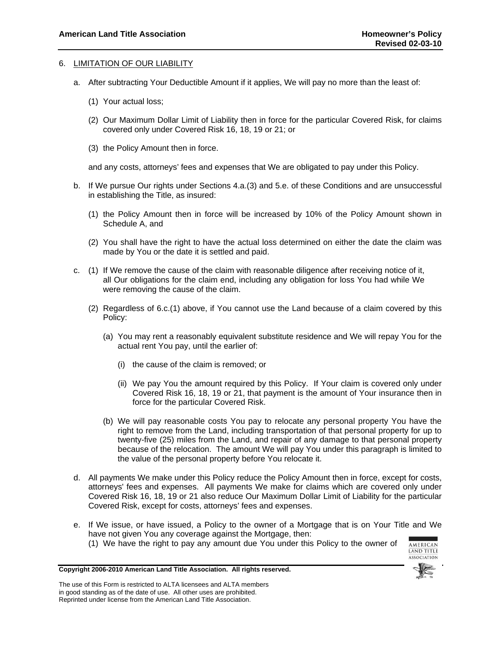#### 6. LIMITATION OF OUR LIABILITY

- a. After subtracting Your Deductible Amount if it applies, We will pay no more than the least of:
	- (1) Your actual loss;
	- (2) Our Maximum Dollar Limit of Liability then in force for the particular Covered Risk, for claims covered only under Covered Risk 16, 18, 19 or 21; or
	- (3) the Policy Amount then in force.

and any costs, attorneys' fees and expenses that We are obligated to pay under this Policy.

- b. If We pursue Our rights under Sections 4.a.(3) and 5.e. of these Conditions and are unsuccessful in establishing the Title, as insured:
	- (1) the Policy Amount then in force will be increased by 10% of the Policy Amount shown in Schedule A, and
	- (2) You shall have the right to have the actual loss determined on either the date the claim was made by You or the date it is settled and paid.
- c. (1) If We remove the cause of the claim with reasonable diligence after receiving notice of it, all Our obligations for the claim end, including any obligation for loss You had while We were removing the cause of the claim.
	- (2) Regardless of 6.c.(1) above, if You cannot use the Land because of a claim covered by this Policy:
		- (a) You may rent a reasonably equivalent substitute residence and We will repay You for the actual rent You pay, until the earlier of:
			- (i) the cause of the claim is removed; or
			- (ii) We pay You the amount required by this Policy. If Your claim is covered only under Covered Risk 16, 18, 19 or 21, that payment is the amount of Your insurance then in force for the particular Covered Risk.
		- (b) We will pay reasonable costs You pay to relocate any personal property You have the right to remove from the Land, including transportation of that personal property for up to twenty-five (25) miles from the Land, and repair of any damage to that personal property because of the relocation. The amount We will pay You under this paragraph is limited to the value of the personal property before You relocate it.
- d. All payments We make under this Policy reduce the Policy Amount then in force, except for costs, attorneys' fees and expenses. All payments We make for claims which are covered only under Covered Risk 16, 18, 19 or 21 also reduce Our Maximum Dollar Limit of Liability for the particular Covered Risk, except for costs, attorneys' fees and expenses.
- e. If We issue, or have issued, a Policy to the owner of a Mortgage that is on Your Title and We have not given You any coverage against the Mortgage, then:

(1) We have the right to pay any amount due You under this Policy to the owner of



**Copyright 2006-2010 American Land Title Association. All rights reserved.** 

The use of this Form is restricted to ALTA licensees and ALTA members in good standing as of the date of use. All other uses are prohibited. Reprinted under license from the American Land Title Association.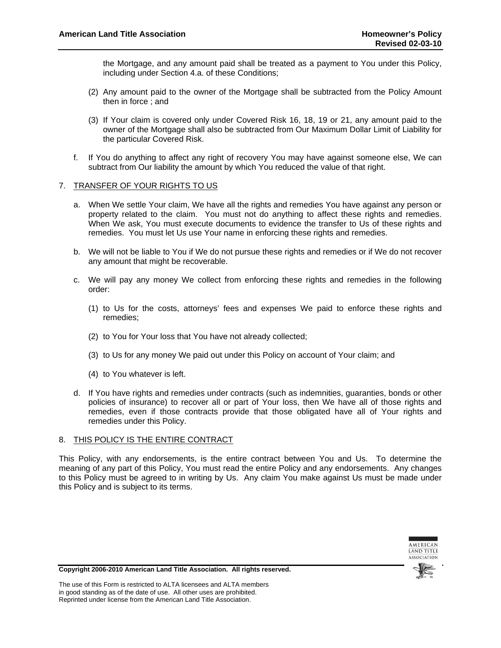the Mortgage, and any amount paid shall be treated as a payment to You under this Policy, including under Section 4.a. of these Conditions;

- (2) Any amount paid to the owner of the Mortgage shall be subtracted from the Policy Amount then in force ; and
- (3) If Your claim is covered only under Covered Risk 16, 18, 19 or 21, any amount paid to the owner of the Mortgage shall also be subtracted from Our Maximum Dollar Limit of Liability for the particular Covered Risk.
- f. If You do anything to affect any right of recovery You may have against someone else, We can subtract from Our liability the amount by which You reduced the value of that right.

#### 7. TRANSFER OF YOUR RIGHTS TO US

- a. When We settle Your claim, We have all the rights and remedies You have against any person or property related to the claim. You must not do anything to affect these rights and remedies. When We ask, You must execute documents to evidence the transfer to Us of these rights and remedies. You must let Us use Your name in enforcing these rights and remedies.
- b. We will not be liable to You if We do not pursue these rights and remedies or if We do not recover any amount that might be recoverable.
- c. We will pay any money We collect from enforcing these rights and remedies in the following order:
	- (1) to Us for the costs, attorneys' fees and expenses We paid to enforce these rights and remedies;
	- (2) to You for Your loss that You have not already collected;
	- (3) to Us for any money We paid out under this Policy on account of Your claim; and
	- (4) to You whatever is left.
- d. If You have rights and remedies under contracts (such as indemnities, guaranties, bonds or other policies of insurance) to recover all or part of Your loss, then We have all of those rights and remedies, even if those contracts provide that those obligated have all of Your rights and remedies under this Policy.

#### 8. THIS POLICY IS THE ENTIRE CONTRACT

This Policy, with any endorsements, is the entire contract between You and Us. To determine the meaning of any part of this Policy, You must read the entire Policy and any endorsements. Any changes to this Policy must be agreed to in writing by Us. Any claim You make against Us must be made under this Policy and is subject to its terms.





**Copyright 2006-2010 American Land Title Association. All rights reserved.**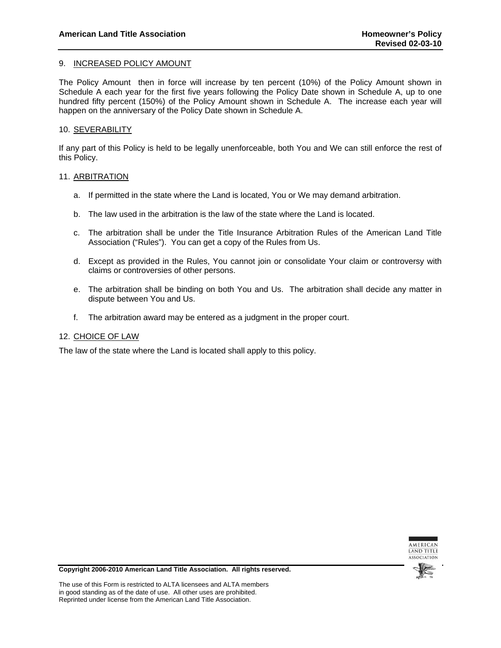#### 9. INCREASED POLICY AMOUNT

The Policy Amount then in force will increase by ten percent (10%) of the Policy Amount shown in Schedule A each year for the first five years following the Policy Date shown in Schedule A, up to one hundred fifty percent (150%) of the Policy Amount shown in Schedule A. The increase each year will happen on the anniversary of the Policy Date shown in Schedule A.

#### 10. SEVERABILITY

If any part of this Policy is held to be legally unenforceable, both You and We can still enforce the rest of this Policy.

#### 11. ARBITRATION

- a. If permitted in the state where the Land is located, You or We may demand arbitration.
- b. The law used in the arbitration is the law of the state where the Land is located.
- c. The arbitration shall be under the Title Insurance Arbitration Rules of the American Land Title Association ("Rules"). You can get a copy of the Rules from Us.
- d. Except as provided in the Rules, You cannot join or consolidate Your claim or controversy with claims or controversies of other persons.
- e. The arbitration shall be binding on both You and Us. The arbitration shall decide any matter in dispute between You and Us.
- f. The arbitration award may be entered as a judgment in the proper court.

#### 12. CHOICE OF LAW

The law of the state where the Land is located shall apply to this policy.



**Copyright 2006-2010 American Land Title Association. All rights reserved.**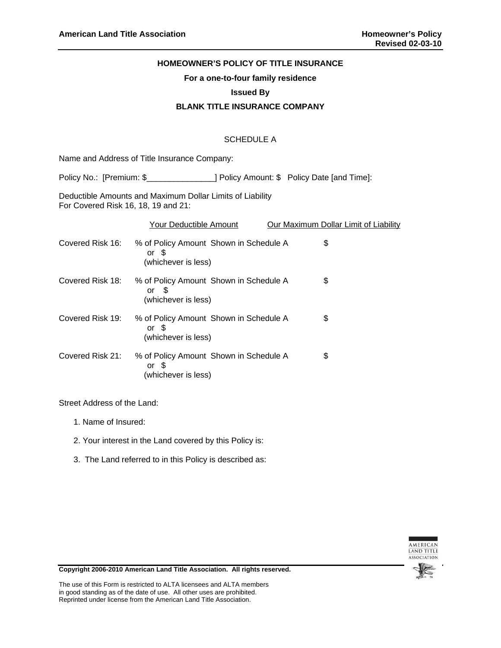#### **For a one-to-four family residence**

#### **Issued By**

#### **BLANK TITLE INSURANCE COMPANY**

#### SCHEDULE A

Name and Address of Title Insurance Company:

Policy No.: [Premium: \$\_\_\_\_\_\_\_\_\_\_\_\_\_\_\_] Policy Amount: \$ Policy Date [and Time]:

Deductible Amounts and Maximum Dollar Limits of Liability For Covered Risk 16, 18, 19 and 21:

|                  | Your Deductible Amount                                                    | Our Maximum Dollar Limit of Liability |
|------------------|---------------------------------------------------------------------------|---------------------------------------|
| Covered Risk 16: | % of Policy Amount Shown in Schedule A<br>or \$<br>(whichever is less)    | \$                                    |
| Covered Risk 18: | % of Policy Amount Shown in Schedule A<br>-S<br>or<br>(whichever is less) | \$                                    |
| Covered Risk 19: | % of Policy Amount Shown in Schedule A<br>or \$<br>(whichever is less)    | \$                                    |
| Covered Risk 21: | % of Policy Amount Shown in Schedule A<br>or \$<br>(whichever is less)    | \$                                    |

Street Address of the Land:

- 1. Name of Insured:
- 2. Your interest in the Land covered by this Policy is:
- 3. The Land referred to in this Policy is described as:



**Copyright 2006-2010 American Land Title Association. All rights reserved.**